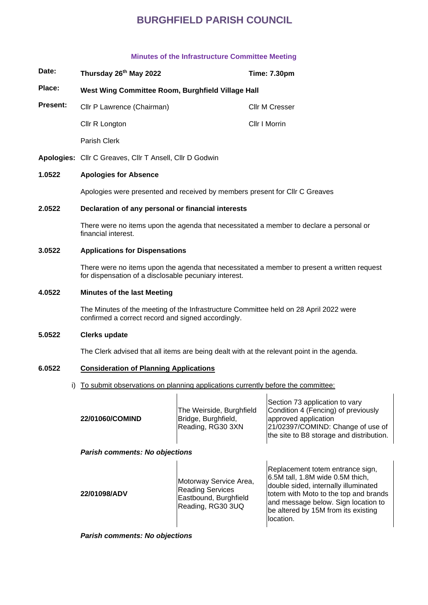### **Minutes of the Infrastructure Committee Meeting**

| Date:           | Thursday 26th May 2022                            | <b>Time: 7.30pm</b>   |
|-----------------|---------------------------------------------------|-----------------------|
| Place:          | West Wing Committee Room, Burghfield Village Hall |                       |
| <b>Present:</b> | Cllr P Lawrence (Chairman)                        | <b>Cllr M Cresser</b> |
|                 | Cllr R Longton                                    | Cllr I Morrin         |
|                 | Parish Clerk                                      |                       |

**Apologies:** Cllr C Greaves, Cllr T Ansell, Cllr D Godwin

## **1.0522 Apologies for Absence**

Apologies were presented and received by members present for Cllr C Greaves

#### **2.0522 Declaration of any personal or financial interests**

There were no items upon the agenda that necessitated a member to declare a personal or financial interest.

## **3.0522 Applications for Dispensations**

There were no items upon the agenda that necessitated a member to present a written request for dispensation of a disclosable pecuniary interest.

#### **4.0522 Minutes of the last Meeting**

The Minutes of the meeting of the Infrastructure Committee held on 28 April 2022 were confirmed a correct record and signed accordingly.

#### **5.0522 Clerks update**

The Clerk advised that all items are being dealt with at the relevant point in the agenda.

#### **6.0522 Consideration of Planning Applications**

i) To submit observations on planning applications currently before the committee:

 $\mathbf{I}$ 

|                 |                          | Section 73 application to vary           |
|-----------------|--------------------------|------------------------------------------|
|                 | The Weirside, Burghfield | Condition 4 (Fencing) of previously      |
| 22/01060/COMIND | Bridge, Burghfield,      | approved application                     |
|                 | Reading, RG30 3XN        | 21/02397/COMIND: Change of use of        |
|                 |                          | the site to B8 storage and distribution. |
|                 |                          |                                          |

 $\mathbf{I}$ 

## *Parish comments: No objections*

| 22/01098/ADV | Motorway Service Area,<br><b>Reading Services</b><br>Eastbound, Burghfield<br>Reading, RG30 3UQ | Replacement totem entrance sign,<br>$6.5M$ tall, 1.8M wide 0.5M thich,<br>double sided, internally illuminated<br>totem with Moto to the top and brands<br>and message below. Sign location to<br>be altered by 15M from its existing<br>llocation. |
|--------------|-------------------------------------------------------------------------------------------------|-----------------------------------------------------------------------------------------------------------------------------------------------------------------------------------------------------------------------------------------------------|
|--------------|-------------------------------------------------------------------------------------------------|-----------------------------------------------------------------------------------------------------------------------------------------------------------------------------------------------------------------------------------------------------|

*Parish comments: No objections*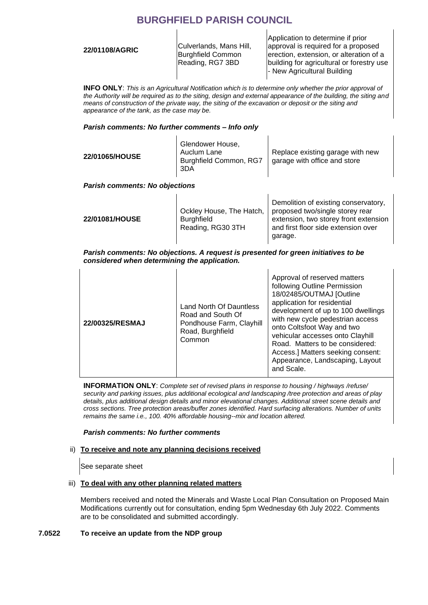**22/01108/AGRIC** Culverlands, Mans Hill, Burghfield Common Reading, RG7 3BD

Application to determine if prior approval is required for a proposed erection, extension, or alteration of a building for agricultural or forestry use - New Agricultural Building

**INFO ONLY**: *This is an Agricultural Notification which is to determine only whether the prior approval of the Authority will be required as to the siting, design and external appearance of the building, the siting and means of construction of the private way, the siting of the excavation or deposit or the siting and appearance of the tank, as the case may be.*

## *Parish comments: No further comments – Info only*

| <b>22/01065/HOUSE</b>                 | Glendower House,<br>Auclum Lane<br>Burghfield Common, RG7<br>3DA | Replace existing garage with new<br>garage with office and store |
|---------------------------------------|------------------------------------------------------------------|------------------------------------------------------------------|
| <b>Parish comments: No objections</b> |                                                                  |                                                                  |
|                                       |                                                                  | Demolition of existing conservatory,                             |

|                |                          | <b>PUILIPILIPII OF OATOMING UUILIPUI TULUI II</b> |
|----------------|--------------------------|---------------------------------------------------|
|                | Ockley House, The Hatch, | proposed two/single storey rear                   |
| 22/01081/HOUSE | <b>Burghfield</b>        | extension, two storey front extension             |
|                | Reading, RG30 3TH        | and first floor side extension over               |
|                |                          | garage.                                           |

## *Parish comments: No objections. A request is presented for green initiatives to be considered when determining the application.*

| with new cycle pedestrian access<br>22/00325/RESMAJ<br>Pondhouse Farm, Clayhill<br>onto Coltsfoot Way and two<br>Road, Burghfield<br>vehicular accesses onto Clayhill<br>Common<br>Road. Matters to be considered:<br>and Scale. |  | Land North Of Dauntless<br>Road and South Of | Approval of reserved matters<br>following Outline Permission<br>18/02485/OUTMAJ [Outline<br>application for residential<br>development of up to 100 dwellings<br>Access.] Matters seeking consent:<br>Appearance, Landscaping, Layout |
|----------------------------------------------------------------------------------------------------------------------------------------------------------------------------------------------------------------------------------|--|----------------------------------------------|---------------------------------------------------------------------------------------------------------------------------------------------------------------------------------------------------------------------------------------|
|----------------------------------------------------------------------------------------------------------------------------------------------------------------------------------------------------------------------------------|--|----------------------------------------------|---------------------------------------------------------------------------------------------------------------------------------------------------------------------------------------------------------------------------------------|

**INFORMATION ONLY**: *Complete set of revised plans in response to housing / highways /refuse/ security and parking issues, plus additional ecological and landscaping /tree protection and areas of play details, plus additional design details and minor elevational changes. Additional street scene details and cross sections. Tree protection areas/buffer zones identified. Hard surfacing alterations. Number of units remains the same i.e., 100. 40% affordable housing--mix and location altered.*

## *Parish comments: No further comments*

## ii) **To receive and note any planning decisions received**

See separate sheet

## iii) **To deal with any other planning related matters**

Members received and noted the Minerals and Waste Local Plan Consultation on Proposed Main Modifications currently out for consultation, ending 5pm Wednesday 6th July 2022. Comments are to be consolidated and submitted accordingly.

## **7.0522 To receive an update from the NDP group**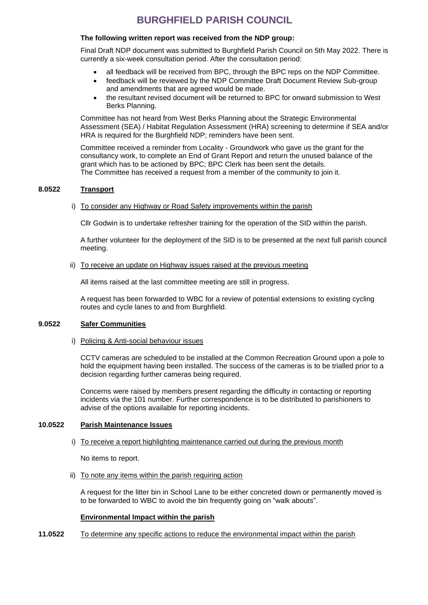#### **The following written report was received from the NDP group:**

Final Draft NDP document was submitted to Burghfield Parish Council on 5th May 2022. There is currently a six-week consultation period. After the consultation period:

- all feedback will be received from BPC, through the BPC reps on the NDP Committee.
- feedback will be reviewed by the NDP Committee Draft Document Review Sub-group and amendments that are agreed would be made.
- the resultant revised document will be returned to BPC for onward submission to West Berks Planning.

Committee has not heard from West Berks Planning about the Strategic Environmental Assessment (SEA) / Habitat Regulation Assessment (HRA) screening to determine if SEA and/or HRA is required for the Burghfield NDP; reminders have been sent.

Committee received a reminder from Locality - Groundwork who gave us the grant for the consultancy work, to complete an End of Grant Report and return the unused balance of the grant which has to be actioned by BPC; BPC Clerk has been sent the details. The Committee has received a request from a member of the community to join it.

#### **8.0522 Transport**

#### i) To consider any Highway or Road Safety improvements within the parish

Cllr Godwin is to undertake refresher training for the operation of the SID within the parish.

A further volunteer for the deployment of the SID is to be presented at the next full parish council meeting.

#### ii) To receive an update on Highway issues raised at the previous meeting

All items raised at the last committee meeting are still in progress.

A request has been forwarded to WBC for a review of potential extensions to existing cycling routes and cycle lanes to and from Burghfield.

## **9.0522 Safer Communities**

#### i) Policing & Anti-social behaviour issues

CCTV cameras are scheduled to be installed at the Common Recreation Ground upon a pole to hold the equipment having been installed. The success of the cameras is to be trialled prior to a decision regarding further cameras being required.

Concerns were raised by members present regarding the difficulty in contacting or reporting incidents via the 101 number. Further correspondence is to be distributed to parishioners to advise of the options available for reporting incidents.

## **10.0522 Parish Maintenance Issues**

#### i) To receive a report highlighting maintenance carried out during the previous month

No items to report.

ii) To note any items within the parish requiring action

A request for the litter bin in School Lane to be either concreted down or permanently moved is to be forwarded to WBC to avoid the bin frequently going on "walk abouts".

#### **Environmental Impact within the parish**

**11.0522** To determine any specific actions to reduce the environmental impact within the parish